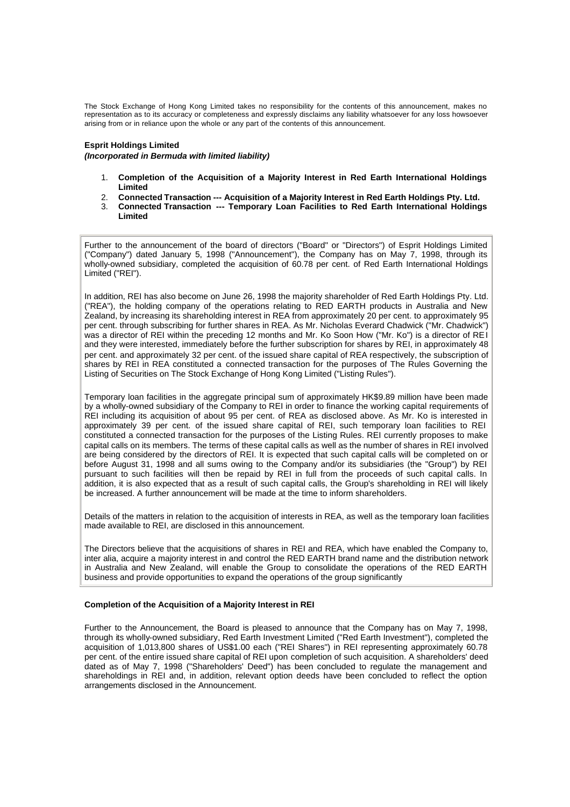The Stock Exchange of Hong Kong Limited takes no responsibility for the contents of this announcement, makes no representation as to its accuracy or completeness and expressly disclaims any liability whatsoever for any loss howsoever arising from or in reliance upon the whole or any part of the contents of this announcement.

### **Esprit Holdings Limited**

*(Incorporated in Bermuda with limited liability)*

- 1. **Completion of the Acquisition of a Majority Interest in Red Earth International Holdings Limited**
- 2. **Connected Transaction --- Acquisition of a Majority Interest in Red Earth Holdings Pty. Ltd.**
- 3. **Connected Transaction --- Temporary Loan Facilities to Red Earth International Holdings Limited**

Further to the announcement of the board of directors ("Board" or "Directors") of Esprit Holdings Limited ("Company") dated January 5, 1998 ("Announcement"), the Company has on May 7, 1998, through its wholly-owned subsidiary, completed the acquisition of 60.78 per cent. of Red Earth International Holdings Limited ("REI").

In addition, REI has also become on June 26, 1998 the majority shareholder of Red Earth Holdings Pty. Ltd. ("REA"), the holding company of the operations relating to RED EARTH products in Australia and New Zealand, by increasing its shareholding interest in REA from approximately 20 per cent. to approximately 95 per cent. through subscribing for further shares in REA. As Mr. Nicholas Everard Chadwick ("Mr. Chadwick") was a director of REI within the preceding 12 months and Mr. Ko Soon How ("Mr. Ko") is a director of REI and they were interested, immediately before the further subscription for shares by REI, in approximately 48 per cent. and approximately 32 per cent. of the issued share capital of REA respectively, the subscription of shares by REI in REA constituted a connected transaction for the purposes of The Rules Governing the Listing of Securities on The Stock Exchange of Hong Kong Limited ("Listing Rules").

Temporary loan facilities in the aggregate principal sum of approximately HK\$9.89 million have been made by a wholly-owned subsidiary of the Company to REI in order to finance the working capital requirements of REI including its acquisition of about 95 per cent. of REA as disclosed above. As Mr. Ko is interested in approximately 39 per cent. of the issued share capital of REI, such temporary loan facilities to REI constituted a connected transaction for the purposes of the Listing Rules. REI currently proposes to make capital calls on its members. The terms of these capital calls as well as the number of shares in REI involved are being considered by the directors of REI. It is expected that such capital calls will be completed on or before August 31, 1998 and all sums owing to the Company and/or its subsidiaries (the "Group") by REI pursuant to such facilities will then be repaid by REI in full from the proceeds of such capital calls. In addition, it is also expected that as a result of such capital calls, the Group's shareholding in REI will likely be increased. A further announcement will be made at the time to inform shareholders.

Details of the matters in relation to the acquisition of interests in REA, as well as the temporary loan facilities made available to REI, are disclosed in this announcement.

The Directors believe that the acquisitions of shares in REI and REA, which have enabled the Company to, inter alia, acquire a majority interest in and control the RED EARTH brand name and the distribution network in Australia and New Zealand, will enable the Group to consolidate the operations of the RED EARTH business and provide opportunities to expand the operations of the group significantly

## **Completion of the Acquisition of a Majority Interest in REI**

Further to the Announcement, the Board is pleased to announce that the Company has on May 7, 1998, through its wholly-owned subsidiary, Red Earth Investment Limited ("Red Earth Investment"), completed the acquisition of 1,013,800 shares of US\$1.00 each ("REI Shares") in REI representing approximately 60.78 per cent. of the entire issued share capital of REI upon completion of such acquisition. A shareholders' deed dated as of May 7, 1998 ("Shareholders' Deed") has been concluded to regulate the management and shareholdings in REI and, in addition, relevant option deeds have been concluded to reflect the option arrangements disclosed in the Announcement.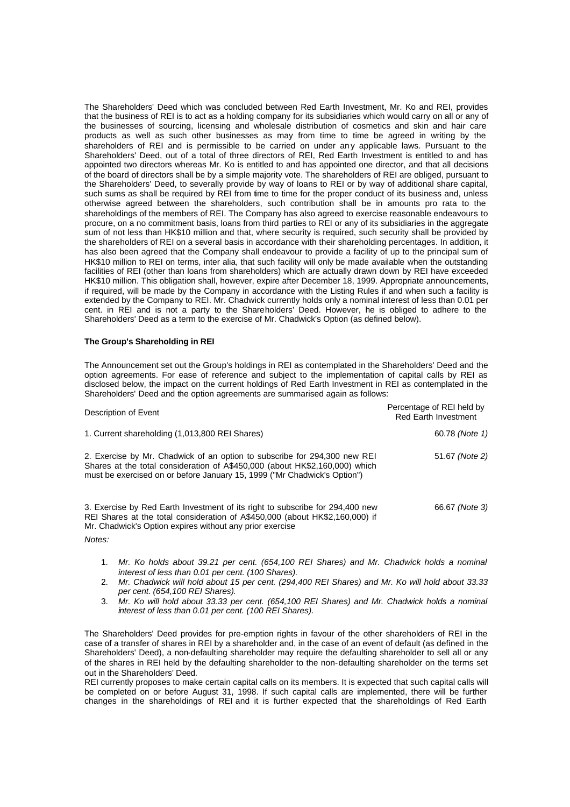The Shareholders' Deed which was concluded between Red Earth Investment, Mr. Ko and REI, provides that the business of REI is to act as a holding company for its subsidiaries which would carry on all or any of the businesses of sourcing, licensing and wholesale distribution of cosmetics and skin and hair care products as well as such other businesses as may from time to time be agreed in writing by the shareholders of REI and is permissible to be carried on under any applicable laws. Pursuant to the Shareholders' Deed, out of a total of three directors of REI, Red Earth Investment is entitled to and has appointed two directors whereas Mr. Ko is entitled to and has appointed one director, and that all decisions of the board of directors shall be by a simple majority vote. The shareholders of REI are obliged, pursuant to the Shareholders' Deed, to severally provide by way of loans to REI or by way of additional share capital, such sums as shall be required by REI from time to time for the proper conduct of its business and, unless otherwise agreed between the shareholders, such contribution shall be in amounts pro rata to the shareholdings of the members of REI. The Company has also agreed to exercise reasonable endeavours to procure, on a no commitment basis, loans from third parties to REI or any of its subsidiaries in the aggregate sum of not less than HK\$10 million and that, where security is required, such security shall be provided by the shareholders of REI on a several basis in accordance with their shareholding percentages. In addition, it has also been agreed that the Company shall endeavour to provide a facility of up to the principal sum of HK\$10 million to REI on terms, inter alia, that such facility will only be made available when the outstanding facilities of REI (other than loans from shareholders) which are actually drawn down by REI have exceeded HK\$10 million. This obligation shall, however, expire after December 18, 1999. Appropriate announcements, if required, will be made by the Company in accordance with the Listing Rules if and when such a facility is extended by the Company to REI. Mr. Chadwick currently holds only a nominal interest of less than 0.01 per cent. in REI and is not a party to the Shareholders' Deed. However, he is obliged to adhere to the Shareholders' Deed as a term to the exercise of Mr. Chadwick's Option (as defined below).

## **The Group's Shareholding in REI**

The Announcement set out the Group's holdings in REI as contemplated in the Shareholders' Deed and the option agreements. For ease of reference and subject to the implementation of capital calls by REI as disclosed below, the impact on the current holdings of Red Earth Investment in REI as contemplated in the Shareholders' Deed and the option agreements are summarised again as follows:

| Description of Event                                                                                                                                                                                                                 | Percentage of REI held by<br><b>Red Earth Investment</b> |
|--------------------------------------------------------------------------------------------------------------------------------------------------------------------------------------------------------------------------------------|----------------------------------------------------------|
| 1. Current shareholding (1,013,800 REI Shares)                                                                                                                                                                                       | 60.78 (Note 1)                                           |
| 2. Exercise by Mr. Chadwick of an option to subscribe for 294,300 new REI<br>Shares at the total consideration of A\$450,000 (about HK\$2,160,000) which<br>must be exercised on or before January 15, 1999 ("Mr Chadwick's Option") | 51.67 (Note 2)                                           |
| 3. Exercise by Red Earth Investment of its right to subscribe for 294,400 new<br>REI Shares at the total consideration of A\$450,000 (about HK\$2,160,000) if<br>Mr. Chadwick's Option expires without any prior exercise<br>Notes:  | 66.67 (Note 3)                                           |

- 1. *Mr. Ko holds about 39.21 per cent. (654,100 REI Shares) and Mr. Chadwick holds a nominal interest of less than 0.01 per cent. (100 Shares).*
- 2. *Mr. Chadwick will hold about 15 per cent. (294,400 REI Shares) and Mr. Ko will hold about 33.33 per cent. (654,100 REI Shares).*
- 3. *Mr. Ko will hold about 33.33 per cent. (654,100 REI Shares) and Mr. Chadwick holds a nominal interest of less than 0.01 per cent. (100 REI Shares).*

The Shareholders' Deed provides for pre-emption rights in favour of the other shareholders of REI in the case of a transfer of shares in REI by a shareholder and, in the case of an event of default (as defined in the Shareholders' Deed), a non-defaulting shareholder may require the defaulting shareholder to sell all or any of the shares in REI held by the defaulting shareholder to the non-defaulting shareholder on the terms set out in the Shareholders' Deed.

REI currently proposes to make certain capital calls on its members. It is expected that such capital calls will be completed on or before August 31, 1998. If such capital calls are implemented, there will be further changes in the shareholdings of REI and it is further expected that the shareholdings of Red Earth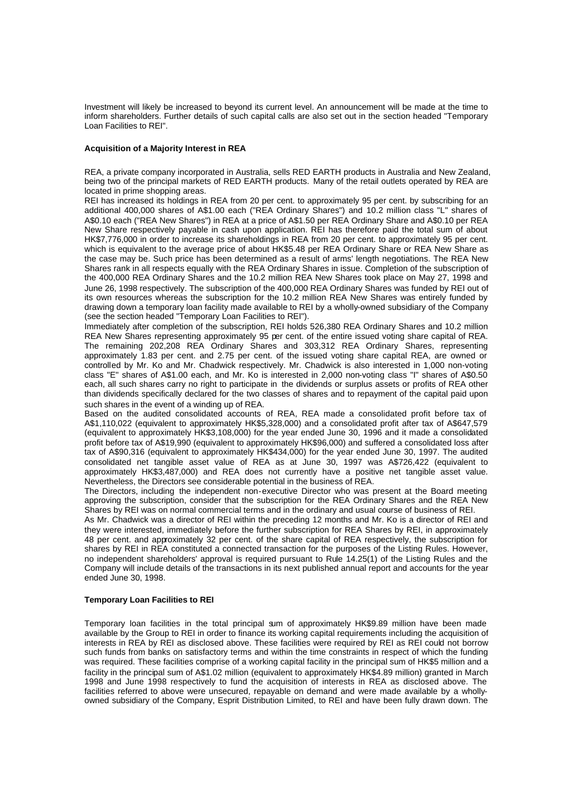Investment will likely be increased to beyond its current level. An announcement will be made at the time to inform shareholders. Further details of such capital calls are also set out in the section headed "Temporary Loan Facilities to REI".

## **Acquisition of a Majority Interest in REA**

REA, a private company incorporated in Australia, sells RED EARTH products in Australia and New Zealand, being two of the principal markets of RED EARTH products. Many of the retail outlets operated by REA are located in prime shopping areas.

REI has increased its holdings in REA from 20 per cent. to approximately 95 per cent. by subscribing for an additional 400,000 shares of A\$1.00 each ("REA Ordinary Shares") and 10.2 million class "L" shares of A\$0.10 each ("REA New Shares") in REA at a price of A\$1.50 per REA Ordinary Share and A\$0.10 per REA New Share respectively payable in cash upon application. REI has therefore paid the total sum of about HK\$7,776,000 in order to increase its shareholdings in REA from 20 per cent. to approximately 95 per cent. which is equivalent to the average price of about HK\$5.48 per REA Ordinary Share or REA New Share as the case may be. Such price has been determined as a result of arms' length negotiations. The REA New Shares rank in all respects equally with the REA Ordinary Shares in issue. Completion of the subscription of the 400,000 REA Ordinary Shares and the 10.2 million REA New Shares took place on May 27, 1998 and June 26, 1998 respectively. The subscription of the 400,000 REA Ordinary Shares was funded by REI out of its own resources whereas the subscription for the 10.2 million REA New Shares was entirely funded by drawing down a temporary loan facility made available to REI by a wholly-owned subsidiary of the Company (see the section headed "Temporary Loan Facilities to REI").

Immediately after completion of the subscription, REI holds 526,380 REA Ordinary Shares and 10.2 million REA New Shares representing approximately 95 per cent. of the entire issued voting share capital of REA. The remaining 202,208 REA Ordinary Shares and 303,312 REA Ordinary Shares, representing approximately 1.83 per cent. and 2.75 per cent. of the issued voting share capital REA, are owned or controlled by Mr. Ko and Mr. Chadwick respectively. Mr. Chadwick is also interested in 1,000 non-voting class "E" shares of A\$1.00 each, and Mr. Ko is interested in 2,000 non-voting class "I" shares of A\$0.50 each, all such shares carry no right to participate in the dividends or surplus assets or profits of REA other than dividends specifically declared for the two classes of shares and to repayment of the capital paid upon such shares in the event of a winding up of REA.

Based on the audited consolidated accounts of REA, REA made a consolidated profit before tax of A\$1,110,022 (equivalent to approximately HK\$5,328,000) and a consolidated profit after tax of A\$647,579 (equivalent to approximately HK\$3,108,000) for the year ended June 30, 1996 and it made a consolidated profit before tax of A\$19,990 (equivalent to approximately HK\$96,000) and suffered a consolidated loss after tax of A\$90,316 (equivalent to approximately HK\$434,000) for the year ended June 30, 1997. The audited consolidated net tangible asset value of REA as at June 30, 1997 was A\$726,422 (equivalent to approximately HK\$3,487,000) and REA does not currently have a positive net tangible asset value. Nevertheless, the Directors see considerable potential in the business of REA.

The Directors, including the independent non-executive Director who was present at the Board meeting approving the subscription, consider that the subscription for the REA Ordinary Shares and the REA New Shares by REI was on normal commercial terms and in the ordinary and usual course of business of REI.

As Mr. Chadwick was a director of REI within the preceding 12 months and Mr. Ko is a director of REI and they were interested, immediately before the further subscription for REA Shares by REI, in approximately 48 per cent. and approximately 32 per cent. of the share capital of REA respectively, the subscription for shares by REI in REA constituted a connected transaction for the purposes of the Listing Rules. However, no independent shareholders' approval is required pursuant to Rule 14.25(1) of the Listing Rules and the Company will include details of the transactions in its next published annual report and accounts for the year ended June 30, 1998.

#### **Temporary Loan Facilities to REI**

Temporary loan facilities in the total principal sum of approximately HK\$9.89 million have been made available by the Group to REI in order to finance its working capital requirements including the acquisition of interests in REA by REI as disclosed above. These facilities were required by REI as REI could not borrow such funds from banks on satisfactory terms and within the time constraints in respect of which the funding was required. These facilities comprise of a working capital facility in the principal sum of HK\$5 million and a facility in the principal sum of A\$1.02 million (equivalent to approximately HK\$4.89 million) granted in March 1998 and June 1998 respectively to fund the acquisition of interests in REA as disclosed above. The facilities referred to above were unsecured, repayable on demand and were made available by a whollyowned subsidiary of the Company, Esprit Distribution Limited, to REI and have been fully drawn down. The